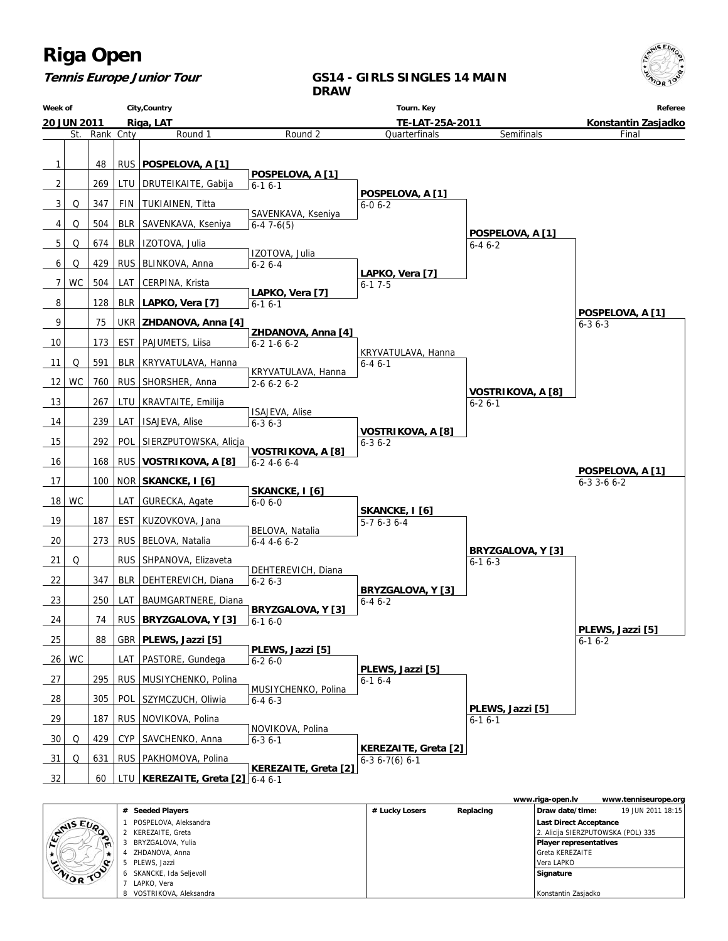

### **Tennis Europe Junior Tour**

### **GS14 - GIRLS SINGLES 14 MAIN DRAW**

|                   | Week of<br>City, Country |           |     |                                    | Tourn. Key                                |                                               |                                   | Referee                          |
|-------------------|--------------------------|-----------|-----|------------------------------------|-------------------------------------------|-----------------------------------------------|-----------------------------------|----------------------------------|
|                   | <b>20 JUN 2011</b>       |           |     | Riga, LAT                          |                                           | TE-LAT-25A-2011                               | Konstantin Zasjadko               |                                  |
|                   | St.                      | Rank Cnty |     | Round 1                            | Round 2                                   | Quarterfinals                                 | Semifinals                        | Final                            |
| 1                 |                          | 48        |     | RUS   POSPELOVA, A [1]             |                                           |                                               |                                   |                                  |
|                   |                          |           |     |                                    | POSPELOVA, A [1]                          |                                               |                                   |                                  |
| 2                 |                          | 269       |     | LTU   DRUTEIKAITE, Gabija          | $6-16-1$                                  | POSPELOVA, A [1]                              |                                   |                                  |
| 3                 | Q                        | 347       | FIN | TUKIAINEN, Titta                   | SAVENKAVA, Kseniya                        | $6 - 06 - 2$                                  |                                   |                                  |
| 4                 | Q                        | 504       |     | BLR SAVENKAVA, Kseniya             | $6-47-6(5)$                               |                                               |                                   |                                  |
| 5                 | Q                        | 674       |     | BLR   IZOTOVA, Julia               |                                           |                                               | POSPELOVA, A [1]<br>$6 - 46 - 2$  |                                  |
| 6                 | Q                        | 429       |     | RUS   BLINKOVA, Anna               | IZOTOVA, Julia<br>$6 - 26 - 4$            |                                               |                                   |                                  |
| 7                 | <b>WC</b>                | 504       | LAT | CERPINA, Krista                    |                                           | LAPKO, Vera [7]<br>$6 - 17 - 5$               |                                   |                                  |
|                   |                          |           |     |                                    | LAPKO, Vera [7]                           |                                               |                                   |                                  |
| 8                 |                          | 128       |     | BLR   LAPKO, Vera [7]              | $6 - 16 - 1$                              |                                               |                                   | POSPELOVA, A [1]                 |
| 9                 |                          | 75        |     | UKR   ZHDANOVA, Anna [4]           | ZHDANOVA, Anna [4]                        |                                               |                                   | $6 - 36 - 3$                     |
| 10                |                          | 173       | EST | PAJUMETS, Liisa                    | $6 - 2$ 1 - 6 $6 - 2$                     |                                               |                                   |                                  |
| 11                | Q                        | 591       |     | BLR   KRYVATULAVA, Hanna           |                                           | KRYVATULAVA, Hanna<br>$6 - 46 - 1$            |                                   |                                  |
| $12 \overline{ }$ | WC                       | 760       |     | RUS   SHORSHER, Anna               | KRYVATULAVA, Hanna<br>$2 - 6 6 - 2 6 - 2$ |                                               |                                   |                                  |
| 13                |                          | 267       | LTU | KRAVTAITE, Emilija                 |                                           |                                               | VOSTRIKOVA, A [8]<br>$6 - 26 - 1$ |                                  |
|                   |                          |           |     |                                    | <b>ISAJEVA, Alise</b>                     |                                               |                                   |                                  |
| 14                |                          | 239       | LAT | <b>ISAJEVA, Alise</b>              | $6 - 36 - 3$                              | <b>VOSTRIKOVA, A [8]</b>                      |                                   |                                  |
| 15                |                          | 292       | POL | SIERZPUTOWSKA, Alicja              | <b>VOSTRIKOVA, A [8]</b>                  | $6 - 36 - 2$                                  |                                   |                                  |
| 16                |                          | 168       |     | RUS   VOSTRIKOVA, A [8]            | $6 - 24 - 66 - 4$                         |                                               |                                   | POSPELOVA, A [1]                 |
| 17                |                          | 100       |     | NOR SKANCKE, I [6]                 |                                           |                                               |                                   | $6 - 3$ 3 - 6 $6 - 2$            |
| 18                | <b>WC</b>                |           | LAT | GURECKA, Agate                     | SKANCKE, I [6]<br>$6 - 06 - 0$            |                                               |                                   |                                  |
| 19                |                          | 187       | EST | KUZOVKOVA, Jana                    |                                           | SKANCKE, I [6]<br>$5-76-36-4$                 |                                   |                                  |
| 20                |                          | 273       |     | RUS   BELOVA, Natalia              | BELOVA, Natalia                           |                                               |                                   |                                  |
|                   |                          |           |     |                                    | $6-4$ 4-6 6-2                             |                                               | BRYZGALOVA, Y [3]                 |                                  |
| 21                | Q                        |           |     | RUS SHPANOVA, Elizaveta            | DEHTEREVICH, Diana                        |                                               | $6 - 16 - 3$                      |                                  |
| 22                |                          | 347       |     | BLR   DEHTEREVICH, Diana           | $6 - 26 - 3$                              | BRYZGALOVA, Y [3]                             |                                   |                                  |
| 23                |                          | 250       | LAT | BAUMGARTNERE, Diana                | BRYZGALOVA, Y [3]                         | $6 - 46 - 2$                                  |                                   |                                  |
| 24                |                          | 74        |     | RUS BRYZGALOVA, Y [3]              | $6-16-0$                                  |                                               |                                   |                                  |
| 25                |                          | 88        |     | GBR   PLEWS, Jazzi [5]             |                                           |                                               |                                   | PLEWS, Jazzi [5]<br>$6 - 16 - 2$ |
|                   | $26$ WC                  |           |     | LAT   PASTORE, Gundega             | PLEWS, Jazzi [5]<br>$6 - 26 - 0$          |                                               |                                   |                                  |
| 27                |                          | 295       |     | RUS   MUSIYCHENKO, Polina          |                                           | PLEWS, Jazzi [5]                              |                                   |                                  |
|                   |                          |           |     |                                    | MUSIYCHENKO, Polina                       | $6 - 16 - 4$                                  |                                   |                                  |
| 28                |                          | 305       | POL | SZYMCZUCH, Oliwia                  | $6 - 46 - 3$                              |                                               | PLEWS, Jazzi [5]                  |                                  |
| 29                |                          | 187       |     | RUS   NOVIKOVA, Polina             | NOVIKOVA, Polina                          |                                               | $6 - 16 - 1$                      |                                  |
| 30                | Q                        | 429       | CYP | SAVCHENKO, Anna                    | $6 - 36 - 1$                              |                                               |                                   |                                  |
| 31                | Q                        | 631       |     | RUS   PAKHOMOVA, Polina            |                                           | <b>KEREZAITE, Greta [2]</b><br>$6-36-7(6)6-1$ |                                   |                                  |
| 32                |                          | 60        |     | LTU KEREZAITE, Greta $[2]$ 6-4 6-1 | <b>KEREZAITE, Greta [2]</b>               |                                               |                                   |                                  |
|                   |                          |           |     |                                    |                                           |                                               |                                   |                                  |

|                |                          |                |           | www.riga-open.lv                   | www.tenniseurope.org |
|----------------|--------------------------|----------------|-----------|------------------------------------|----------------------|
|                | # Seeded Players         | # Lucky Losers | Replacing | Draw date/time:                    | 19 JUN 2011 18:15    |
| <b>SANSEUR</b> | POSPELOVA, Aleksandra    |                |           | Last Direct Acceptance             |                      |
|                | KEREZAITE, Greta         |                |           | 2. Alicija SIERZPUTOWSKA (POL) 335 |                      |
|                | BRYZGALOVA, Yulia        |                |           | <b>Player representatives</b>      |                      |
|                | ZHDANOVA, Anna           |                |           | l Greta KEREZAITE                  |                      |
|                | PLEWS, Jazzi             |                |           | Vera LAPKO                         |                      |
| ENIOR TOO      | 6 SKANCKE, Ida Seljevoll |                |           | Signature                          |                      |
|                | LAPKO, Vera              |                |           |                                    |                      |
|                | 8 VOSTRIKOVA, Aleksandra |                |           | Konstantin Zasjadko                |                      |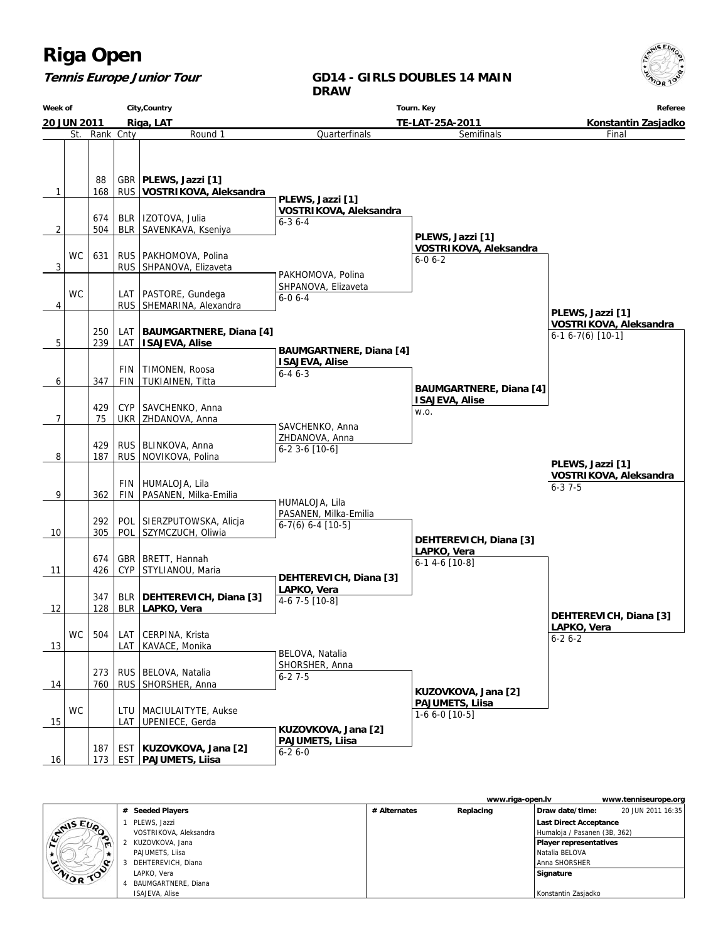#### **Tennis Europe Junior Tour**

#### **GD14 - GIRLS DOUBLES 14 MAIN DRAW**

**Week of 20 JUN 2011 City,Country Riga, LAT Tourn. Key TE-LAT-25A-2011 Referee Konstantin Zasjadko** St. Rank Cnty **Round 1** 1 | 168 88 RUS GBR **PLEWS, Jazzi [1] VOSTRIKOVA, Aleksandra** 2 504 674 BLR BLR | IZOTOVA, Julia SAVENKAVA, Kseniya 3  $WC$  631 RUS RUS | PAKHOMOVA, Polina SHPANOVA, Elizaveta 4 WC RUS LAT | PASTORE, Gundega SHEMARINA, Alexandra 5 239 250 LAT LAT **BAUMGARTNERE, Diana [4] ISAJEVA, Alise** 6 347 FIN FIN TIMONEN, Roosa TUKIAINEN, Titta 7 75 429 UKR CYP SAVCHENKO, Anna ZHDANOVA, Anna 8 187 429 RUS RUS BLINKOVA, Anna NOVIKOVA, Polina 9 362 FIN FIN HUMALOJA, Lila PASANEN, Milka-Emilia 10 305 292 POL POL SIERZPUTOWSKA, Alicja SZYMCZUCH, Oliwia 11 426 674 CYP GBR BRETT, Hannah STYLIANOU, Maria 12 | 128 347 BLR BLR **DEHTEREVICH, Diana [3] LAPKO, Vera** 13 WC  $504$ LAT LAT CERPINA, Krista KAVACE, Monika 14 760 273 RUS RUS BELOVA, Natalia SHORSHER, Anna 15 WC LAT LTU MACIULAITYTE, Aukse UPENIECE, Gerda 16 173 187 EST  **PAJUMETS, Liisa** EST **KUZOVKOVA, Jana [2] Quarterfinals PLEWS, Jazzi [1] VOSTRIKOVA, Aleksandra** 6-3 6-4 PAKHOMOVA, Polina SHPANOVA, Elizaveta 6-0 6-4  **BAUMGARTNERE, Diana [4] ISAJEVA, Alise** 6-4 6-3 SAVCHENKO, Anna ZHDANOVA, Anna 6-2 3-6 [10-6] HUMALOJA, Lila PASANEN, Milka-Emilia 6-7(6) 6-4 [10-5]  **DEHTEREVICH, Diana [3] LAPKO, Vera** 4-6 7-5 [10-8] BELOVA, Natalia SHORSHER, Anna 6-2 7-5  **KUZOVKOVA, Jana [2] PAJUMETS, Liisa** 6-2 6-0 Semifinals  **PLEWS, Jazzi [1] VOSTRIKOVA, Aleksandra** 6-0 6-2  **BAUMGARTNERE, Diana [4] ISAJEVA, Alise** w.o.  **DEHTEREVICH, Diana [3] LAPKO, Vera** 6-1 4-6 [10-8]  **KUZOVKOVA, Jana [2] PAJUMETS, Liisa** 1-6 6-0 [10-5] Final  **PLEWS, Jazzi [1] VOSTRIKOVA, Aleksandra** 6-1 6-7(6) [10-1]  **DEHTEREVICH, Diana [3] LAPKO, Vera** 6-2 6-2  **PLEWS, Jazzi [1] VOSTRIKOVA, Aleksandra** 6-3 7-5

|                  |                        |              | www.riga-open.ly |                               | www.tenniseurope.org |
|------------------|------------------------|--------------|------------------|-------------------------------|----------------------|
|                  | # Seeded Players       | # Alternates | Replacing        | Draw date/time:               | 20 JUN 2011 16:35    |
| <b>STAIS EUP</b> | PLEWS, Jazzi           |              |                  | <b>Last Direct Acceptance</b> |                      |
|                  | VOSTRIKOVA, Aleksandra |              |                  | Humaloja / Pasanen (3B, 362)  |                      |
| $\blacksquare$   | KUZOVKOVA, Jana        |              |                  | <b>Player representatives</b> |                      |
|                  | PAJUMETS, Liisa        |              |                  | Natalia BELOVA                |                      |
| o                | DEHTEREVICH, Diana     |              |                  | Anna SHORSHER                 |                      |
| <b>CAIOR TON</b> | LAPKO, Vera            |              |                  | Signature                     |                      |
|                  | BAUMGARTNERE, Diana    |              |                  |                               |                      |
|                  | <b>ISAJEVA, Alise</b>  |              |                  | Konstantin Zasjadko           |                      |

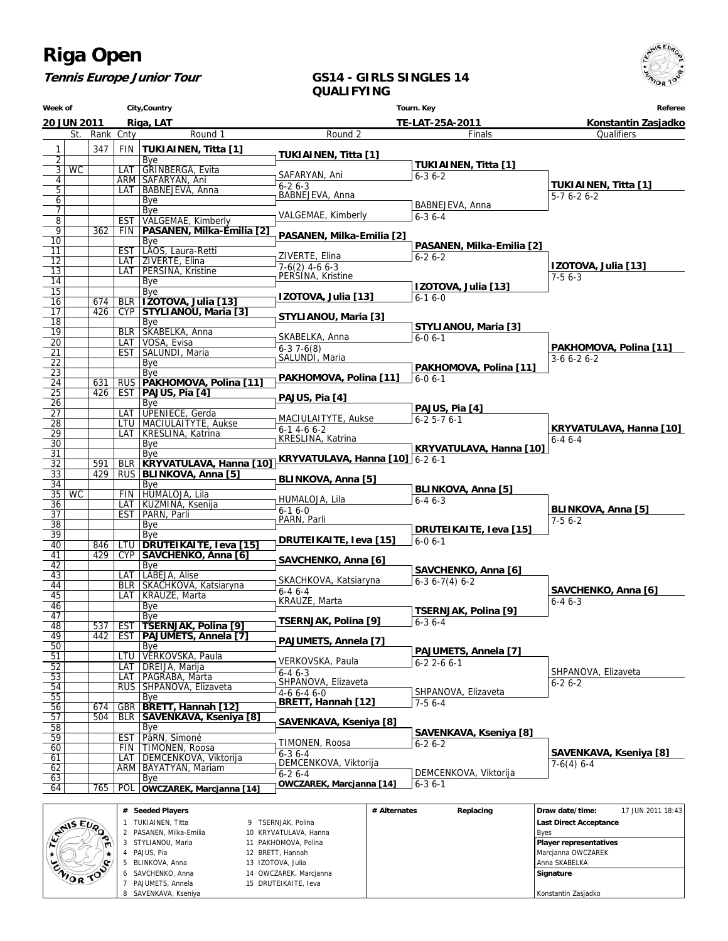**Tennis Europe Junior Tour**

#### **GS14 - GIRLS SINGLES 14 QUALIFYING**

**Week of 20 JUN 2011 City,Country Riga, LAT Tourn. Key TE-LAT-25A-2011 Referee Konstantin Zasjadko** St. Rank Cnty **Round 1** 1 347 FIN **TUKIAINEN, Titta [1]** 2 | Bye 3 WC LAT GRINBERGA, Evita 4 ARM SAFARYAN, Ani 5 | | | | LAT | BABNEJEVA, Anna 6 Bye<br>7 Bye 7 Bye<br>8 EST VAL VALGEMAE, Kimberly 9 362 FIN **PASANEN, Milka-Emilia [2] Bye** 11 | EST | LAOS, Laura-Retti 12 | | | LAT | ZIVERTE, Elina 13 | | | | LAT | PERSINA, Kristine 14 Bye<br>15 Bye 15 | Bye 16 674 BLR **IZOTOVA, Julia [13]** 17 426 CYP **STYLIANOU, Maria [3]** 18 | Bye 19 **BLR SKABELKA, Anna**<br>20 **LAT VOSA, Evisa** 20 LAT VOSA, Evisa<br>21 EST SALUNDI, M SALUNDI, Maria Bye  $\begin{array}{|c|c|}\n \hline\n 22 & 23 \\
 \hline\n 24 & 631 & \text{RUS}\n \hline\n \end{array}$ 24 631 RUS **PAKHOMOVA, Polina [11]** 25 426 EST **PAJUS, Pia [4]**  $\frac{25}{26}$  Bye 27 | | | | LAT | UPENIECE, Gerda 28 | | | | | | | | | | MACIULAITYTE, Aukse 29 LAT KRESLINA, Katrina<br>
30 Bye<br>
31 Bye Bye 31 | | | | | | Bye 32 591 BLR **KRYVATULAVA, Hanna [10] KRYVATULAVA, Hanna [10]** 6-2 6-1 33 429 RUS **BLINKOVA, Anna [5]** 34 | | | | | | Bye 35 WC FIN HUMALOJA, Lila<br>36 LAT KUZMINA, Kseni 36 LAT KUZMINA, Ksenija<br>37 LEST PARN, Parli 37 EST PARN, Parli<br>38 Bye  $\begin{array}{|c|c|c|c|c|}\n \hline\n 38 & & \text{Bye} \\
 \hline\n 39 & & \text{Bve} \\
 \hline\n \end{array}$ 39 | | | | | | Bye 40 846 LTU **DRUTEIKAITE, Ieva [15]** 41 429 CYP **SAVCHENKO, Anna [6] Bye** 43 LAT LABEJA, Alise<br>44 BLR SKACHKOVA, 44 BLR SKACHKOVA, Katsiaryna<br>45 LAT KRAUZE, Marta 45 LAT KRAUZE, Marta Bye 47 Bye<br>48 537 EST TSE 48 537 EST **TSERNJAK, Polina [9]** 49 442 EST **PAJUMETS, Annela [7]** 50 | Bye 51 LTU VERKOVSKA, Paula<br>52 LAT DREIJA, Marija<br>53 LAT PAGRABA, Marta 52 | | | LAT | DREIJA, Marija 53 | | | | LAT | PAGRABA, Marta 54 RUS SHPANOVA, Elizaveta 55 Bye 56 674 GBR **BRETT, Hannah [12]** 57 504 BLR **SAVENKAVA, Kseniya [8]** 58 Bye<br>59 EST Par PäRN, Simoné 60 FIN TIMONEN, Roosa 61 LAT DEMCENKOVA, Viktorija 62 **ARM BAYATYAN, Mariam**<br>63 Bye 63 | Bye 64 765 POL **OWCZAREK, Marcjanna [14]** Round 2  **TUKIAINEN, Titta [1]** SAFARYAN, Ani 6-2 6-3 BABNEJEVA, Anna VALGEMAE, Kimberly  **PASANEN, Milka-Emilia [2]** ZIVERTE, Elina <sup>1</sup> 7-6(2) 4-6 6-3<br><sub>I</sub> PERSINA, Kristine  **IZOTOVA, Julia [13] STYLIANOU, Maria [3]** SKABELKA, Anna <sup>1</sup> 6-3 7-6(8)<br><sub>I</sub> SALUNDI, Maria  **PAKHOMOVA, Polina [11] PAJUS, Pia [4]** MACIULAITYTE, Aukse 6-1 4-6 6-2 KRESLINA, Katrina  **BLINKOVA, Anna [5]** HUMALOJA, Lila 6-1 6-0 PARN, Parli  **DRUTEIKAITE, Ieva [15] SAVCHENKO, Anna [6]** SKACHKOVA, Katsiaryna <sup>1</sup>6-4 6-4<br><sub>I</sub> KRAUZE, Marta  **TSERNJAK, Polina [9] PAJUMETS, Annela [7]** VERKOVSKA, Paula <sup>1</sup> 6-4 6-3<br><sub>I</sub> SHPANOVA, Elizaveta 4-6 6-4 6-0  **BRETT, Hannah [12] SAVENKAVA, Kseniya [8]** TIMONEN, Roosa  $6 - 36 - 4$  DEMCENKOVA, Viktorija 6-2 6-4  **OWCZAREK, Marcjanna [14]** Finals  **TUKIAINEN, Titta [1]** 6-3 6-2 BABNEJEVA, Anna 6-3 6-4  **PASANEN, Milka-Emilia [2]** 6-2 6-2  **IZOTOVA, Julia [13]**  $6 - 16 - 0$  **STYLIANOU, Maria [3]** 6-0 6-1  **PAKHOMOVA, Polina [11]** 6-0 6-1  **PAJUS, Pia [4]** 6-2 5-7 6-1  **KRYVATULAVA, Hanna [10] BLINKOVA, Anna [5]** 6-4 6-3  **DRUTEIKAITE, Ieva [15]** 6-0 6-1  **SAVCHENKO, Anna [6]** 6-3 6-7(4) 6-2  **TSERNJAK, Polina [9]** 6-3 6-4  **PAJUMETS, Annela [7]** 6-2 2-6 6-1 SHPANOVA, Elizaveta 7-5 6-4  **SAVENKAVA, Kseniya [8]** 6-2 6-2 DEMCENKOVA, Viktorija  $6 - 36 - 1$ **Qualifiers TUKIAINEN, Titta [1]** 5-7 6-2 6-2  **IZOTOVA, Julia [13]** 7-5 6-3  **PAKHOMOVA, Polina [11]** 3-6 6-2 6-2  **KRYVATULAVA, Hanna [10]** 6-4 6-4  **BLINKOVA, Anna [5]** 7-5 6-2  **SAVCHENKO, Anna [6]** 6-4 6-3 SHPANOVA, Elizaveta 6-2 6-2  **SAVENKAVA, Kseniya [8]** 7-6(4) 6-4

|                 | # Seeded Players      |                        | # Alternates | Replacing | Draw date/time:        | 17 JUN 2011 18:43 |
|-----------------|-----------------------|------------------------|--------------|-----------|------------------------|-------------------|
| <b>ANIS EUP</b> | TUKIAINEN, Titta      | 9 TSERNJAK, Polina     |              |           | Last Direct Acceptance |                   |
|                 | PASANEN, Milka-Emilia | 10 KRYVATULAVA, Hanna  |              |           | <b>B</b> ves           |                   |
|                 | STYLIANOU, Maria      | 11 PAKHOMOVA, Polina   |              |           | Player representatives |                   |
| *               | PAJUS, Pia            | 12 BRETT, Hannah       |              |           | Marcjanna OWCZAREK     |                   |
|                 | BLINKOVA, Anna        | 13 IZOTOVA, Julia      |              |           | l Anna SKABELKA        |                   |
| WIDR TOP        | SAVCHENKO, Anna       | 14 OWCZAREK, Marcjanna |              |           | Signature              |                   |
|                 | PAJUMETS, Annela      | 15 DRUTEIKAITE, Ieva   |              |           |                        |                   |
|                 | SAVENKAVA, Kseniya    |                        |              |           | Konstantin Zasjadko    |                   |

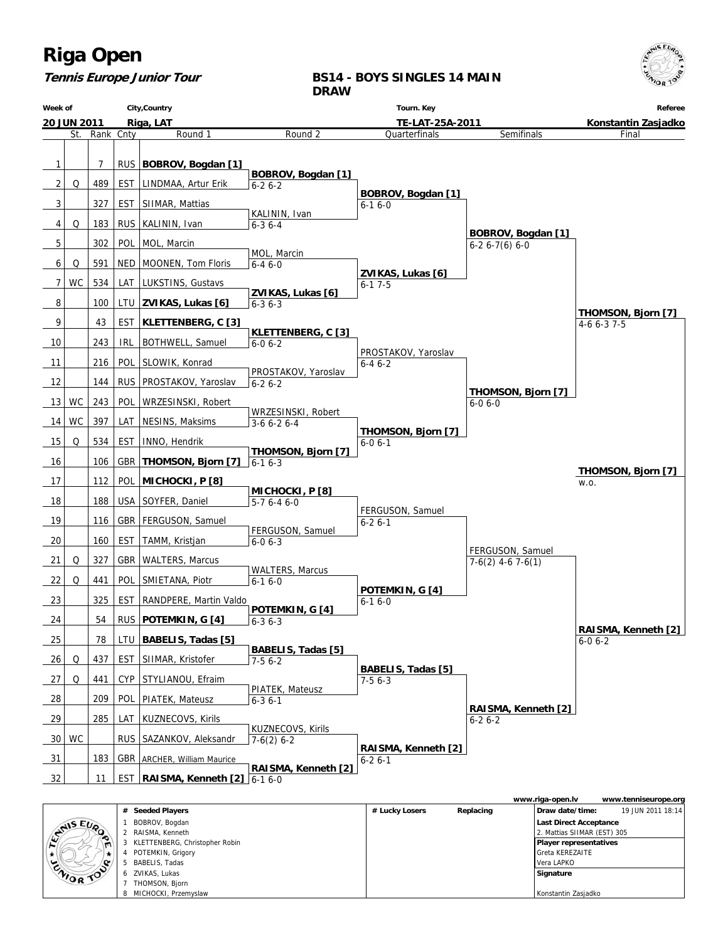

#### **Tennis Europe Junior Tour**

#### **BS14 - BOYS SINGLES 14 MAIN DRAW**



|                  |                |                                |                |           | www.riga-open.lv              | www.tenniseurope.org |
|------------------|----------------|--------------------------------|----------------|-----------|-------------------------------|----------------------|
|                  |                | # Seeded Players               | # Lucky Losers | Replacing | Draw date/time:               | 19 JUN 2011 18:14    |
| <b>SAMIS EUP</b> |                | BOBROV, Bogdan                 |                |           | Last Direct Acceptance        |                      |
|                  | $\bullet$      | RAISMA, Kenneth                |                |           | 2. Mattias SHMAR (EST) 305    |                      |
|                  | $\blacksquare$ | KLETTENBERG, Christopher Robin |                |           | <b>Player representatives</b> |                      |
|                  | $\star$        | POTEMKIN, Grigory              |                |           | l Greta KEREZAITE             |                      |
|                  |                | BABELIS, Tadas                 |                |           | Vera LAPKO                    |                      |
| ZNIOR TOO        |                | ZVIKAS, Lukas                  |                |           | Signature                     |                      |
|                  |                | THOMSON, Bjorn                 |                |           |                               |                      |
|                  |                | MICHOCKI, Przemyslaw           |                |           | Konstantin Zasjadko           |                      |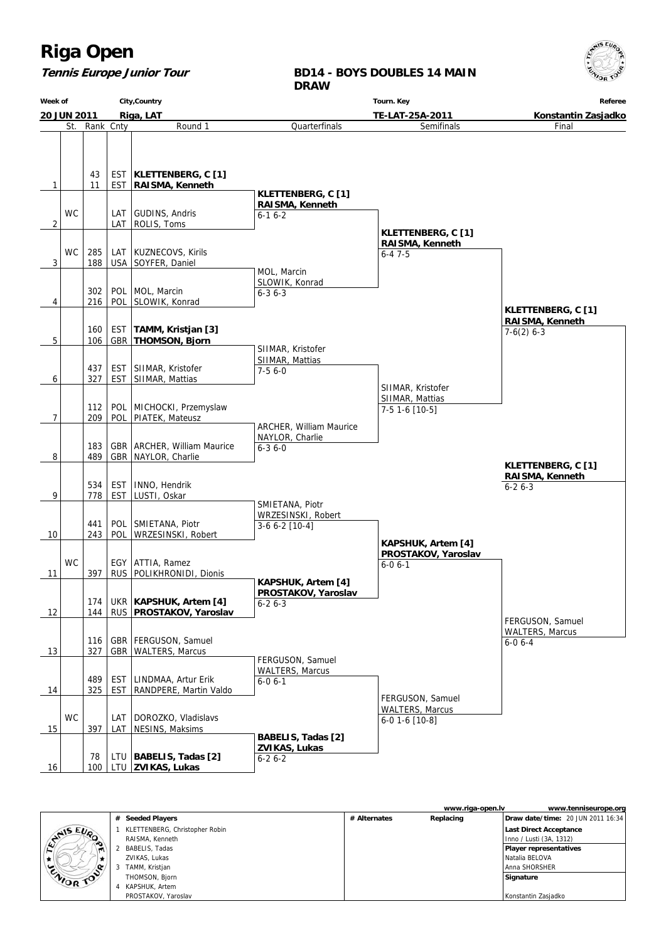

**Referee**

Final

#### **Tennis Europe Junior Tour Week of 20 JUN 2011 City,Country Riga, LAT BD14 - BOYS DOUBLES 14 MAIN DRAW Tourn. Key TE-LAT-25A-2011 Konstantin Zasjadko** St. Rank Cnty Round 1 **Quarterfinals** Semifinals



|                  |    |                                |              | www.riga-open.lv | www.tenniseurope.org                     |
|------------------|----|--------------------------------|--------------|------------------|------------------------------------------|
|                  | #  | <b>Seeded Players</b>          | # Alternates | Replacing        | <b>Draw date/time: 20 JUN 2011 16:34</b> |
| <b>STAIS EUP</b> |    | KLETTENBERG, Christopher Robin |              |                  | Last Direct Acceptance                   |
|                  |    | RAISMA, Kenneth                |              |                  | Inno / Lusti (3A, 1312)                  |
| $\blacksquare$   |    | BABELIS, Tadas                 |              |                  | Player representatives                   |
| *                |    | ZVIKAS, Lukas                  |              |                  | Natalia BELOVA                           |
| ENIOR TOP        | -3 | TAMM, Kristjan                 |              |                  | Anna SHORSHER                            |
|                  |    | THOMSON, Bjorn                 |              |                  | Signature                                |
|                  |    | KAPSHUK, Artem                 |              |                  |                                          |
|                  |    | PROSTAKOV, Yaroslav            |              |                  | Konstantin Zasjadko                      |